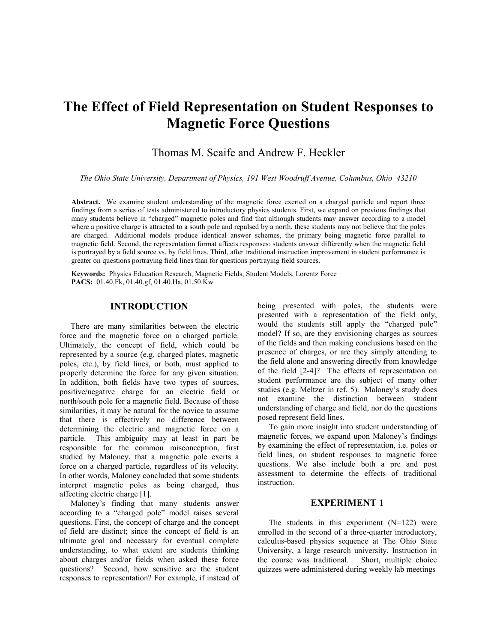# The Effect of Field Representation on Student Responses to Magnetic Force Questions

# Thomas M. Scaife and Andrew F. Heckler

The Ohio State University, Department of Physics, 191 West Woodruff Avenue, Columbus, Ohio 43210

Abstract. We examine student understanding of the magnetic force exerted on a charged particle and report three findings from a series of tests administered to introductory physics students. First, we expand on previous findings that many students believe in "charged" magnetic poles and find that although students may answer according to a model where a positive charge is attracted to a south pole and repulsed by a north, these students may not believe that the poles are charged. Additional models produce identical answer schemes, the primary being magnetic force parallel to magnetic field. Second, the representation format affects responses: students answer differently when the magnetic field is portrayed by a field source vs. by field lines. Third, after traditional instruction improvement in student performance is greater on questions portraying field lines than for questions portraying field sources.

Keywords: Physics Education Research, Magnetic Fields, Student Models, Lorentz Force PACS: 01.40.Fk, 01.40.gf, 01.40.Ha, 01.50.Kw

# INTRODUCTION

There are many similarities between the electric force and the magnetic force on a charged particle. Ultimately, the concept of field, which could be represented by a source (e.g. charged plates, magnetic poles, etc.), by field lines, or both, must applied to properly determine the force for any given situation. In addition, both fields have two types of sources, positive/negative charge for an electric field or north/south pole for a magnetic field. Because of these similarities, it may be natural for the novice to assume that there is effectively no difference between determining the electric and magnetic force on a particle. This ambiguity may at least in part be responsible for the common misconception, first studied by Maloney, that a magnetic pole exerts a force on a charged particle, regardless of its velocity. In other words, Maloney concluded that some students interpret magnetic poles as being charged, thus affecting electric charge [1].

Maloney's finding that many students answer according to a "charged pole" model raises several questions. First, the concept of charge and the concept of field are distinct; since the concept of field is an ultimate goal and necessary for eventual complete understanding, to what extent are students thinking about charges and/or fields when asked these force questions? Second, how sensitive are the student responses to representation? For example, if instead of being presented with poles, the students were presented with a representation of the field only, would the students still apply the "charged pole" model? If so, are they envisioning charges as sources of the fields and then making conclusions based on the presence of charges, or are they simply attending to the field alone and answering directly from knowledge of the field [2-4]? The effects of representation on student performance are the subject of many other studies (e.g. Meltzer in ref. 5). Maloney's study does not examine the distinction between student understanding of charge and field, nor do the questions posed represent field lines.

To gain more insight into student understanding of magnetic forces, we expand upon Maloney's findings by examining the effect of representation, i.e. poles or field lines, on student responses to magnetic force questions. We also include both a pre and post assessment to determine the effects of traditional **instruction** 

#### EXPERIMENT 1

The students in this experiment (N=122) were enrolled in the second of a three-quarter introductory, calculus-based physics sequence at The Ohio State University, a large research university. Instruction in the course was traditional. Short, multiple choice the course was traditional. quizzes were administered during weekly lab meetings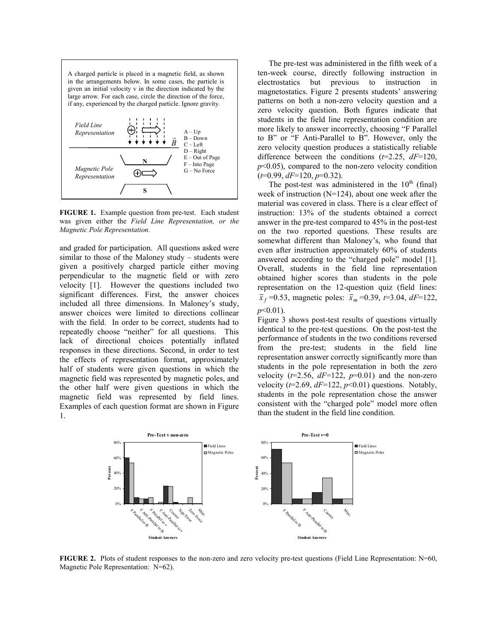A charged particle is placed in a magnetic field, as shown in the arrangements below. In some cases, the particle is given an initial velocity v in the direction indicated by the large arrow. For each case, circle the direction of the force, if any, experienced by the charged particle. Ignore gravity.



FIGURE 1. Example question from pre-test. Each student was given either the Field Line Representation, or the Magnetic Pole Representation.

and graded for participation. All questions asked were similar to those of the Maloney study – students were given a positively charged particle either moving perpendicular to the magnetic field or with zero velocity [1]. However the questions included two significant differences. First, the answer choices included all three dimensions. In Maloney's study, answer choices were limited to directions collinear with the field. In order to be correct, students had to repeatedly choose "neither" for all questions. This lack of directional choices potentially inflated responses in these directions. Second, in order to test the effects of representation format, approximately half of students were given questions in which the magnetic field was represented by magnetic poles, and the other half were given questions in which the magnetic field was represented by field lines. Examples of each question format are shown in Figure 1.

The pre-test was administered in the fifth week of a ten-week course, directly following instruction in electrostatics but previous to instruction in magnetostatics. Figure 2 presents students' answering patterns on both a non-zero velocity question and a zero velocity question. Both figures indicate that students in the field line representation condition are more likely to answer incorrectly, choosing "F Parallel to B" or "F Anti-Parallel to B". However, only the zero velocity question produces a statistically reliable difference between the conditions ( $t=2.25$ ,  $dF=120$ ,  $p<0.05$ ), compared to the non-zero velocity condition  $(t=0.99, dF=120, p=0.32)$ .

The post-test was administered in the  $10^{th}$  (final) week of instruction (N=124), about one week after the material was covered in class. There is a clear effect of instruction: 13% of the students obtained a correct answer in the pre-test compared to 45% in the post-test on the two reported questions. These results are somewhat different than Maloney's, who found that even after instruction approximately 60% of students answered according to the "charged pole" model [1]. Overall, students in the field line representation obtained higher scores than students in the pole representation on the 12-question quiz (field lines:  $\bar{x}_f$ =0.53, magnetic poles:  $\bar{x}_m$ =0.39, t=3.04, dF=122,  $p<0.01$ ).

Figure 3 shows post-test results of questions virtually identical to the pre-test questions. On the post-test the performance of students in the two conditions reversed from the pre-test; students in the field line representation answer correctly significantly more than students in the pole representation in both the zero velocity ( $t=2.56$ ,  $dF=122$ ,  $p=0.01$ ) and the non-zero velocity ( $t=2.69$ ,  $dF=122$ ,  $p<0.01$ ) questions. Notably, students in the pole representation chose the answer consistent with the "charged pole" model more often than the student in the field line condition.



FIGURE 2. Plots of student responses to the non-zero and zero velocity pre-test questions (Field Line Representation: N=60, Magnetic Pole Representation: N=62).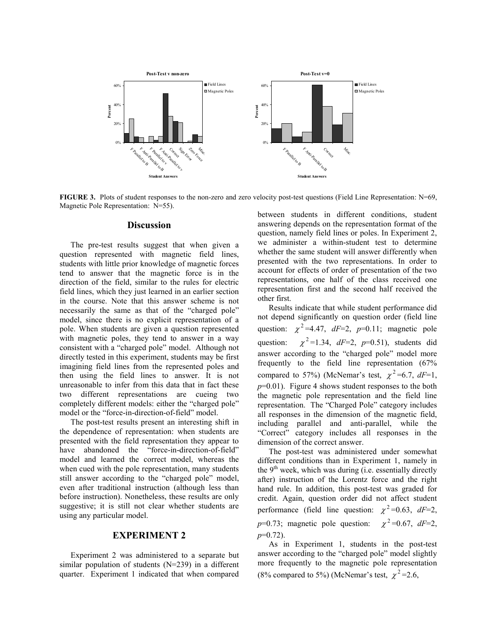

FIGURE 3. Plots of student responses to the non-zero and zero velocity post-test questions (Field Line Representation: N=69, Magnetic Pole Representation: N=55).

#### **Discussion**

The pre-test results suggest that when given a question represented with magnetic field lines, students with little prior knowledge of magnetic forces tend to answer that the magnetic force is in the direction of the field, similar to the rules for electric field lines, which they just learned in an earlier section in the course. Note that this answer scheme is not necessarily the same as that of the "charged pole" model, since there is no explicit representation of a pole. When students are given a question represented with magnetic poles, they tend to answer in a way consistent with a "charged pole" model. Although not directly tested in this experiment, students may be first imagining field lines from the represented poles and then using the field lines to answer. It is not unreasonable to infer from this data that in fact these two different representations are cueing two completely different models: either the "charged pole" model or the "force-in-direction-of-field" model.

The post-test results present an interesting shift in the dependence of representation: when students are presented with the field representation they appear to have abandoned the "force-in-direction-of-field" model and learned the correct model, whereas the when cued with the pole representation, many students still answer according to the "charged pole" model, even after traditional instruction (although less than before instruction). Nonetheless, these results are only suggestive; it is still not clear whether students are using any particular model.

## EXPERIMENT 2

Experiment 2 was administered to a separate but similar population of students (N=239) in a different quarter. Experiment 1 indicated that when compared

between students in different conditions, student answering depends on the representation format of the question, namely field lines or poles. In Experiment 2, we administer a within-student test to determine whether the same student will answer differently when presented with the two representations. In order to account for effects of order of presentation of the two representations, one half of the class received one representation first and the second half received the other first.

Results indicate that while student performance did not depend significantly on question order (field line question:  $\chi^2$ =4.47, dF=2, p=0.11; magnetic pole question:  $\chi^2$ =1.34, dF=2, p=0.51), students did answer according to the "charged pole" model more frequently to the field line representation (67% compared to 57%) (McNemar's test,  $\chi^2$ =6.7, dF=1,  $p=0.01$ ). Figure 4 shows student responses to the both the magnetic pole representation and the field line representation. The "Charged Pole" category includes all responses in the dimension of the magnetic field, including parallel and anti-parallel, while the "Correct" category includes all responses in the dimension of the correct answer.

The post-test was administered under somewhat different conditions than in Experiment 1, namely in the  $9<sup>th</sup>$  week, which was during (i.e. essentially directly after) instruction of the Lorentz force and the right hand rule. In addition, this post-test was graded for credit. Again, question order did not affect student performance (field line question:  $\chi^2$ =0.63, dF=2,  $p=0.73$ ; magnetic pole question:  $\chi^2=0.67$ ,  $dF=2$ ,  $p=0.72$ ).

As in Experiment 1, students in the post-test answer according to the "charged pole" model slightly more frequently to the magnetic pole representation (8% compared to 5%) (McNemar's test,  $\chi^2$ =2.6,